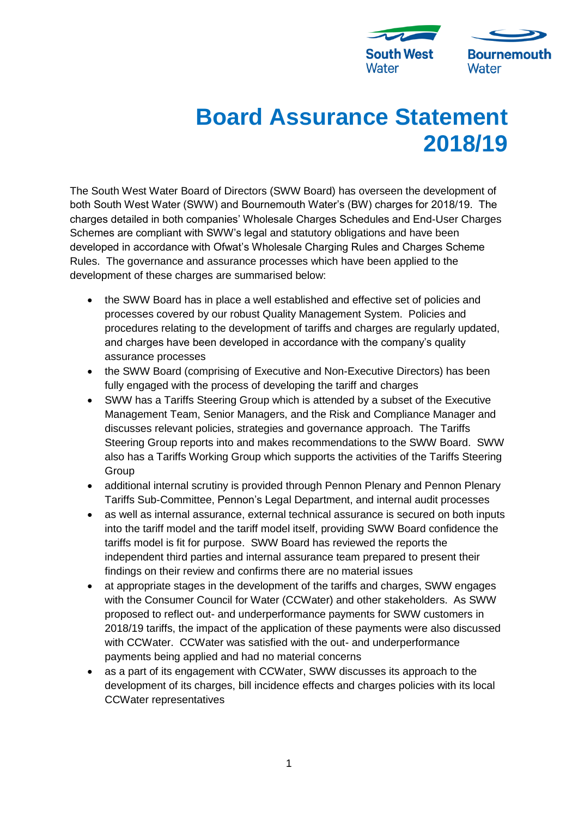

## **Board Assurance Statement 2018/19**

The South West Water Board of Directors (SWW Board) has overseen the development of both South West Water (SWW) and Bournemouth Water's (BW) charges for 2018/19. The charges detailed in both companies' Wholesale Charges Schedules and End-User Charges Schemes are compliant with SWW's legal and statutory obligations and have been developed in accordance with Ofwat's Wholesale Charging Rules and Charges Scheme Rules. The governance and assurance processes which have been applied to the development of these charges are summarised below:

- the SWW Board has in place a well established and effective set of policies and processes covered by our robust Quality Management System. Policies and procedures relating to the development of tariffs and charges are regularly updated, and charges have been developed in accordance with the company's quality assurance processes
- the SWW Board (comprising of Executive and Non-Executive Directors) has been fully engaged with the process of developing the tariff and charges
- SWW has a Tariffs Steering Group which is attended by a subset of the Executive Management Team, Senior Managers, and the Risk and Compliance Manager and discusses relevant policies, strategies and governance approach. The Tariffs Steering Group reports into and makes recommendations to the SWW Board. SWW also has a Tariffs Working Group which supports the activities of the Tariffs Steering **Group**
- additional internal scrutiny is provided through Pennon Plenary and Pennon Plenary Tariffs Sub-Committee, Pennon's Legal Department, and internal audit processes
- as well as internal assurance, external technical assurance is secured on both inputs into the tariff model and the tariff model itself, providing SWW Board confidence the tariffs model is fit for purpose. SWW Board has reviewed the reports the independent third parties and internal assurance team prepared to present their findings on their review and confirms there are no material issues
- at appropriate stages in the development of the tariffs and charges, SWW engages with the Consumer Council for Water (CCWater) and other stakeholders. As SWW proposed to reflect out- and underperformance payments for SWW customers in 2018/19 tariffs, the impact of the application of these payments were also discussed with CCWater. CCWater was satisfied with the out- and underperformance payments being applied and had no material concerns
- as a part of its engagement with CCWater, SWW discusses its approach to the development of its charges, bill incidence effects and charges policies with its local CCWater representatives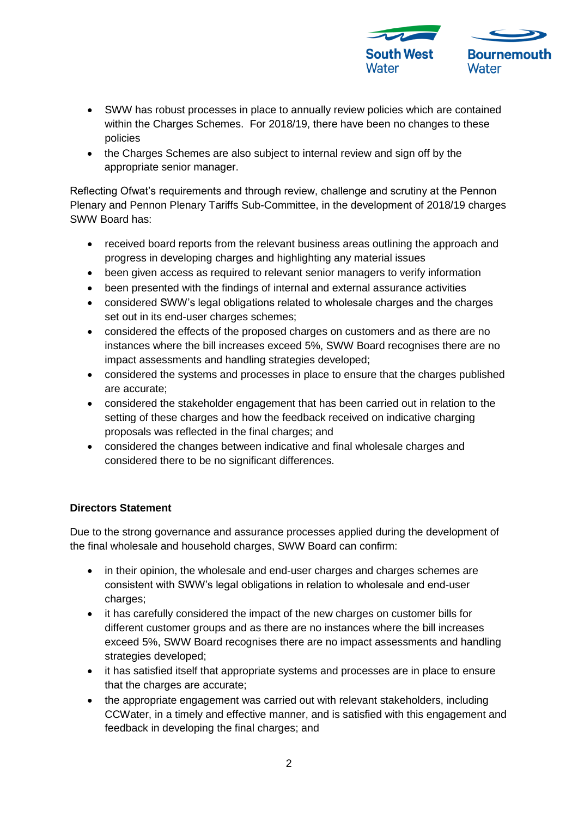

- SWW has robust processes in place to annually review policies which are contained within the Charges Schemes. For 2018/19, there have been no changes to these policies
- the Charges Schemes are also subject to internal review and sign off by the appropriate senior manager.

Reflecting Ofwat's requirements and through review, challenge and scrutiny at the Pennon Plenary and Pennon Plenary Tariffs Sub-Committee, in the development of 2018/19 charges SWW Board has:

- received board reports from the relevant business areas outlining the approach and progress in developing charges and highlighting any material issues
- been given access as required to relevant senior managers to verify information
- been presented with the findings of internal and external assurance activities
- considered SWW's legal obligations related to wholesale charges and the charges set out in its end-user charges schemes:
- considered the effects of the proposed charges on customers and as there are no instances where the bill increases exceed 5%, SWW Board recognises there are no impact assessments and handling strategies developed;
- considered the systems and processes in place to ensure that the charges published are accurate;
- considered the stakeholder engagement that has been carried out in relation to the setting of these charges and how the feedback received on indicative charging proposals was reflected in the final charges; and
- considered the changes between indicative and final wholesale charges and considered there to be no significant differences.

## **Directors Statement**

Due to the strong governance and assurance processes applied during the development of the final wholesale and household charges, SWW Board can confirm:

- in their opinion, the wholesale and end-user charges and charges schemes are consistent with SWW's legal obligations in relation to wholesale and end-user charges;
- it has carefully considered the impact of the new charges on customer bills for different customer groups and as there are no instances where the bill increases exceed 5%, SWW Board recognises there are no impact assessments and handling strategies developed;
- it has satisfied itself that appropriate systems and processes are in place to ensure that the charges are accurate;
- the appropriate engagement was carried out with relevant stakeholders, including CCWater, in a timely and effective manner, and is satisfied with this engagement and feedback in developing the final charges; and